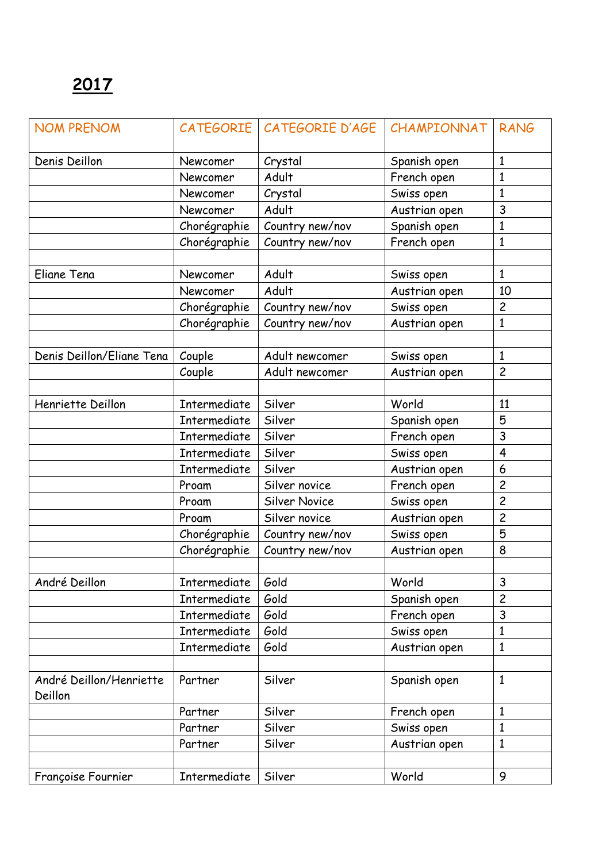| <b>NOM PRENOM</b>                  |              | CATEGORIE   CATEGORIE D'AGE | CHAMPIONNAT   | <b>RANG</b>    |
|------------------------------------|--------------|-----------------------------|---------------|----------------|
| Denis Deillon                      | Newcomer     | Crystal                     | Spanish open  | 1              |
|                                    | Newcomer     | Adult                       | French open   | 1              |
|                                    | Newcomer     | Crystal                     | Swiss open    | 1              |
|                                    | Newcomer     | Adult                       | Austrian open | 3              |
|                                    | Chorégraphie | Country new/nov             | Spanish open  | 1              |
|                                    | Chorégraphie | Country new/nov             | French open   | $\mathbf{1}$   |
|                                    |              |                             |               |                |
| Eliane Tena                        | Newcomer     | Adult                       | Swiss open    | $\mathbf{1}$   |
|                                    | Newcomer     | Adult                       | Austrian open | 10             |
|                                    | Chorégraphie | Country new/nov             | Swiss open    | $\overline{c}$ |
|                                    | Chorégraphie | Country new/nov             | Austrian open | $\mathbf{1}$   |
|                                    |              |                             |               |                |
| Denis Deillon/Eliane Tena          | Couple       | Adult newcomer              | Swiss open    | $\mathbf{1}$   |
|                                    | Couple       | Adult newcomer              | Austrian open | $\overline{c}$ |
|                                    |              |                             |               |                |
| Henriette Deillon                  | Intermediate | Silver                      | World         | 11             |
|                                    | Intermediate | Silver                      | Spanish open  | 5              |
|                                    | Intermediate | Silver                      | French open   | 3              |
|                                    | Intermediate | Silver                      | Swiss open    | 4              |
|                                    | Intermediate | Silver                      | Austrian open | 6              |
|                                    | Proam        | Silver novice               | French open   | $\overline{c}$ |
|                                    | Proam        | <b>Silver Novice</b>        | Swiss open    | $\overline{c}$ |
|                                    | Proam        | Silver novice               | Austrian open | $\overline{c}$ |
|                                    | Chorégraphie | Country new/nov             | Swiss open    | 5              |
|                                    | Chorégraphie | Country new/nov             | Austrian open | 8              |
|                                    |              |                             |               |                |
| André Deillon                      | Intermediate | Gold                        | World         | 3              |
|                                    | Intermediate | Gold                        | Spanish open  | $\overline{c}$ |
|                                    | Intermediate | Gold                        | French open   | 3              |
|                                    | Intermediate | Gold                        | Swiss open    | 1              |
|                                    | Intermediate | Gold                        | Austrian open | 1              |
|                                    |              |                             |               |                |
| André Deillon/Henriette<br>Deillon | Partner      | Silver                      | Spanish open  | $\mathbf{1}$   |
|                                    | Partner      | Silver                      | French open   | $\mathbf{1}$   |
|                                    | Partner      | Silver                      | Swiss open    | 1              |
|                                    | Partner      | Silver                      | Austrian open | $\mathbf{1}$   |
|                                    |              |                             |               |                |
| Françoise Fournier                 | Intermediate | Silver                      | World         | 9              |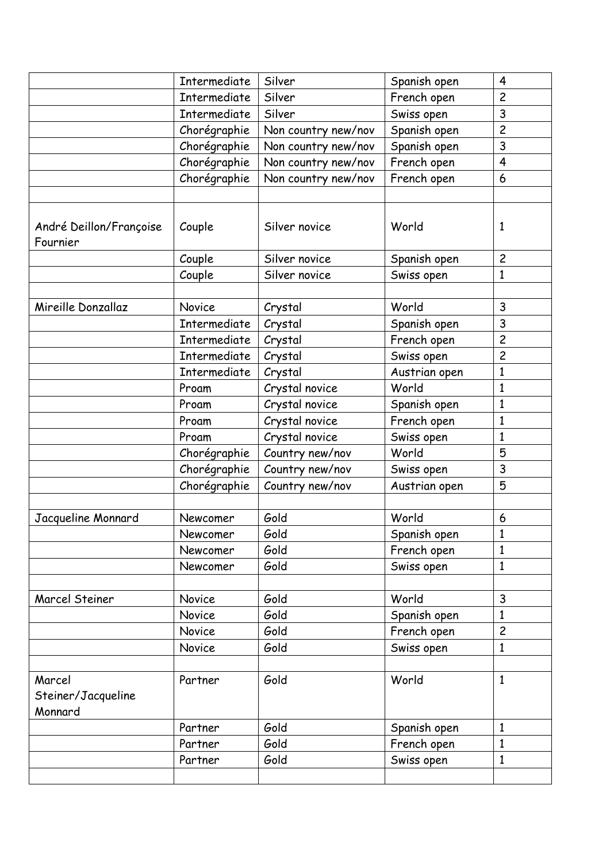|                                         | Intermediate        | Silver              | Spanish open  | $\overline{4}$          |
|-----------------------------------------|---------------------|---------------------|---------------|-------------------------|
|                                         | <b>Intermediate</b> | Silver              | French open   | $\overline{c}$          |
|                                         | Intermediate        | Silver              | Swiss open    | 3                       |
|                                         | Chorégraphie        | Non country new/nov | Spanish open  | $\overline{c}$          |
|                                         | Chorégraphie        | Non country new/nov | Spanish open  | 3                       |
|                                         | Chorégraphie        | Non country new/nov | French open   | $\overline{\mathbf{4}}$ |
|                                         | Chorégraphie        | Non country new/nov | French open   | 6                       |
|                                         |                     |                     |               |                         |
| André Deillon/Françoise<br>Fournier     | Couple              | Silver novice       | World         | $\mathbf{1}$            |
|                                         | Couple              | Silver novice       | Spanish open  | $\overline{c}$          |
|                                         | Couple              | Silver novice       | Swiss open    | $\mathbf{1}$            |
|                                         |                     |                     |               |                         |
| Mireille Donzallaz                      | <b>Novice</b>       | Crystal             | World         | 3                       |
|                                         | Intermediate        | Crystal             | Spanish open  | 3                       |
|                                         | Intermediate        | Crystal             | French open   | $\overline{c}$          |
|                                         | <b>Intermediate</b> | Crystal             | Swiss open    | $\overline{c}$          |
|                                         | Intermediate        | Crystal             | Austrian open | $\mathbf{1}$            |
|                                         | Proam               | Crystal novice      | World         | $\mathbf{1}$            |
|                                         | Proam               | Crystal novice      | Spanish open  | $\mathbf{1}$            |
|                                         | Proam               | Crystal novice      | French open   | $\mathbf{1}$            |
|                                         | Proam               | Crystal novice      | Swiss open    | $\mathbf{1}$            |
|                                         | Chorégraphie        | Country new/nov     | World         | 5                       |
|                                         | Chorégraphie        | Country new/nov     | Swiss open    | 3                       |
|                                         | Chorégraphie        | Country new/nov     | Austrian open | 5                       |
|                                         |                     |                     |               |                         |
| Jacqueline Monnard                      | Newcomer            | Gold                | World         | 6                       |
|                                         | Newcomer            | Gold                | Spanish open  | 1                       |
|                                         | Newcomer            | Gold                | French open   | $\mathbf{1}$            |
|                                         | Newcomer            | Gold                | Swiss open    | $\mathbf{1}$            |
|                                         |                     |                     |               |                         |
| Marcel Steiner                          | Novice              | Gold                | World         | $\overline{3}$          |
|                                         | Novice              | Gold                | Spanish open  | 1                       |
|                                         | Novice              | Gold                | French open   | $\overline{c}$          |
|                                         | Novice              | Gold                | Swiss open    | $\mathbf{1}$            |
|                                         |                     |                     |               |                         |
| Marcel<br>Steiner/Jacqueline<br>Monnard | Partner             | Gold                | World         | $\mathbf{1}$            |
|                                         | Partner             | Gold                | Spanish open  | $\mathbf{1}$            |
|                                         | Partner             | Gold                | French open   | 1                       |
|                                         | Partner             | Gold                | Swiss open    | $\mathbf{1}$            |
|                                         |                     |                     |               |                         |